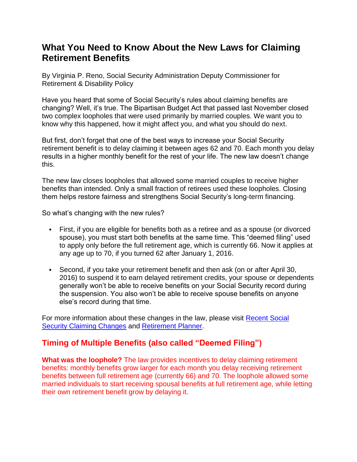## **What You Need to Know About the New Laws for Claiming Retirement Benefits**

By Virginia P. Reno, Social Security Administration Deputy Commissioner for Retirement & Disability Policy

Have you heard that some of Social Security's rules about claiming benefits are changing? Well, it's true. The Bipartisan Budget Act that passed last November closed two complex loopholes that were used primarily by married couples. We want you to know why this happened, how it might affect you, and what you should do next.

But first, don't forget that one of the best ways to increase your Social Security retirement benefit is to delay claiming it between ages 62 and 70. Each month you delay results in a higher monthly benefit for the rest of your life. The new law doesn't change this.

The new law closes loopholes that allowed some married couples to receive higher benefits than intended. Only a small fraction of retirees used these loopholes. Closing them helps restore fairness and strengthens Social Security's long-term financing.

So what's changing with the new rules?

- First, if you are eligible for benefits both as a retiree and as a spouse (or divorced spouse), you must start both benefits at the same time. This "deemed filing" used to apply only before the full retirement age, which is currently 66. Now it applies at any age up to 70, if you turned 62 after January 1, 2016.
- Second, if you take your retirement benefit and then ask (on or after April 30, 2016) to suspend it to earn delayed retirement credits, your spouse or dependents generally won't be able to receive benefits on your Social Security record during the suspension. You also won't be able to receive spouse benefits on anyone else's record during that time.

For more information about these changes in the law, please visit [Recent Social](https://www.socialsecurity.gov/planners/retire/claiming.html)  [Security Claiming Changes](https://www.socialsecurity.gov/planners/retire/claiming.html) and [Retirement Planner.](https://www.socialsecurity.gov/planners/retire/)

## **Timing of Multiple Benefits (also called "Deemed Filing")**

**What was the loophole?** The law provides incentives to delay claiming retirement benefits: monthly benefits grow larger for each month you delay receiving retirement benefits between full retirement age (currently 66) and 70. The loophole allowed some married individuals to start receiving spousal benefits at full retirement age, while letting their own retirement benefit grow by delaying it.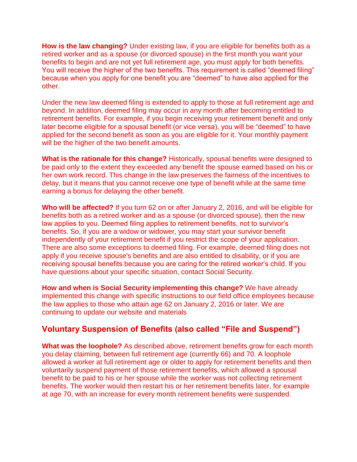**How is the law changing?** Under existing law, if you are eligible for benefits both as a retired worker and as a spouse (or divorced spouse) in the first month you want your benefits to begin and are not yet full retirement age, you must apply for both benefits. You will receive the higher of the two benefits. This requirement is called "deemed filing" because when you apply for one benefit you are "deemed" to have also applied for the other.

Under the new law deemed filing is extended to apply to those at full retirement age and beyond. In addition, deemed filing may occur in any month after becoming entitled to retirement benefits. For example, if you begin receiving your retirement benefit and only later become eligible for a spousal benefit (or vice versa), you will be "deemed" to have applied for the second benefit as soon as you are eligible for it. Your monthly payment will be the higher of the two benefit amounts.

**What is the rationale for this change?** Historically, spousal benefits were designed to be paid only to the extent they exceeded any benefit the spouse earned based on his or her own work record. This change in the law preserves the fairness of the incentives to delay, but it means that you cannot receive one type of benefit while at the same time earning a bonus for delaying the other benefit.

**Who will be affected?** If you turn 62 on or after January 2, 2016, and will be eligible for benefits both as a retired worker and as a spouse (or divorced spouse), then the new law applies to you. Deemed filing applies to retirement benefits, not to survivor's benefits. So, if you are a widow or widower, you may start your survivor benefit independently of your retirement benefit if you restrict the scope of your application. There are also some exceptions to deemed filing. For example, deemed filing does not apply if you receive spouse's benefits and are also entitled to disability, or if you are receiving spousal benefits because you are caring for the retired worker's child. If you have questions about your specific situation, contact Social Security.

**How and when is Social Security implementing this change?** We have already implemented this change with specific instructions to our field office employees because the law applies to those who attain age 62 on January 2, 2016 or later. We are continuing to update our website and materials

## **Voluntary Suspension of Benefits (also called "File and Suspend")**

**What was the loophole?** As described above, retirement benefits grow for each month you delay claiming, between full retirement age (currently 66) and 70. A loophole allowed a worker at full retirement age or older to apply for retirement benefits and then voluntarily suspend payment of those retirement benefits, which allowed a spousal benefit to be paid to his or her spouse while the worker was not collecting retirement benefits. The worker would then restart his or her retirement benefits later, for example at age 70, with an increase for every month retirement benefits were suspended.